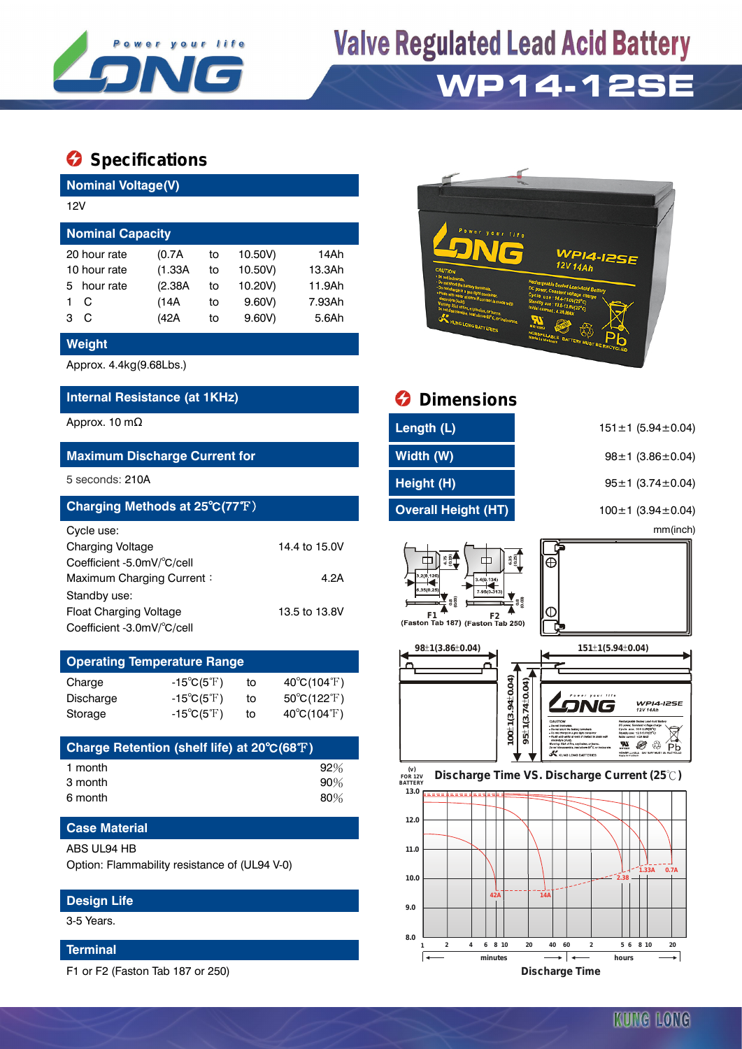

## **Valve Regulated Lead Acid Battery WP14-12SE**

### **Specifications**

**Nominal Voltage(V)**

| 12V                     |         |    |         |        |  |  |  |  |
|-------------------------|---------|----|---------|--------|--|--|--|--|
| <b>Nominal Capacity</b> |         |    |         |        |  |  |  |  |
| 20 hour rate            | (0.7A)  | to | 10.50V) | 14Ah   |  |  |  |  |
| 10 hour rate            | (1.33A) | to | 10.50V) | 13.3Ah |  |  |  |  |
| hour rate<br>5.         | (2.38A) | to | 10.20V) | 11.9Ah |  |  |  |  |
| C                       | (14A    | to | 9.60V   | 7.93Ah |  |  |  |  |
| C<br>з                  | (42A    | to | 9.60V   | 5.6Ah  |  |  |  |  |

#### **Weight**

Approx. 4.4kg(9.68Lbs.)

#### **Internal Resistance (at 1KHz) Dimensions**

#### **Maximum Discharge Current for**

| Charging Methods at 25°C(77°F) |               |
|--------------------------------|---------------|
| Cycle use:                     |               |
| <b>Charging Voltage</b>        | 14.4 to 15.0V |
| Coefficient -5.0mV/°C/cell     |               |
| Maximum Charging Current:      | 4.2A          |
| Standby use:                   |               |
| <b>Float Charging Voltage</b>  | 13.5 to 13.8V |
| Coefficient -3.0mV/°C/cell     |               |

| <b>Operating Temperature Range</b> |                            |    |                                  |  |  |  |  |
|------------------------------------|----------------------------|----|----------------------------------|--|--|--|--|
| Charge                             | $-15^{\circ}C(5^{\circ}F)$ | to | $40^{\circ}$ C(104 $^{\circ}$ F) |  |  |  |  |
| Discharge                          | $-15^{\circ}C(5^{\circ}F)$ | tο | $50^{\circ}C(122^{\circ}F)$      |  |  |  |  |
| Storage                            | $-15^{\circ}C(5^{\circ}F)$ | to | $40^{\circ}C(104^{\circ}F)$      |  |  |  |  |

| Charge Retention (shelf life) at 20°C(68°F) |        |
|---------------------------------------------|--------|
| 1 month                                     | 92%    |
| 3 month                                     | $90\%$ |
| 6 month                                     | 80%    |

#### **Case Material**

#### **Design Life**

3-5 Years.

#### **Terminal**

F1 or F2 (Faston Tab 187 or 250)



|                                                                                                                                                                          | Internal Resistance (at 1KHz)                                                          |                |                                           | <b>Dimensions</b>                                                                                                   |                                                                                                                                                                                                                                                                                                                     |
|--------------------------------------------------------------------------------------------------------------------------------------------------------------------------|----------------------------------------------------------------------------------------|----------------|-------------------------------------------|---------------------------------------------------------------------------------------------------------------------|---------------------------------------------------------------------------------------------------------------------------------------------------------------------------------------------------------------------------------------------------------------------------------------------------------------------|
| Approx. 10 m $\Omega$                                                                                                                                                    |                                                                                        |                |                                           | Length (L)                                                                                                          | $151 \pm 1$ (5.94 $\pm$ 0.04)                                                                                                                                                                                                                                                                                       |
|                                                                                                                                                                          | <b>Maximum Discharge Current for</b>                                                   |                |                                           | Width (W)                                                                                                           | $98 \pm 1$ (3.86 $\pm$ 0.04)                                                                                                                                                                                                                                                                                        |
| 5 seconds: 210A                                                                                                                                                          |                                                                                        |                |                                           | Height (H)                                                                                                          | $95 \pm 1$ (3.74 $\pm$ 0.04)                                                                                                                                                                                                                                                                                        |
|                                                                                                                                                                          | Charging Methods at 25°C(77°F)                                                         |                |                                           | <b>Overall Height (HT)</b>                                                                                          | $100 \pm 1$ (3.94 $\pm$ 0.04)                                                                                                                                                                                                                                                                                       |
| Cycle use:<br>Charging Voltage<br>Coefficient -5.0mV/°C/cell<br>Maximum Charging Current:<br>Standby use:<br><b>Float Charging Voltage</b><br>Coefficient -3.0mV/°C/cell |                                                                                        |                | 14.4 to 15.0V<br>4.2A<br>13.5 to 13.8V    | $6.35$<br>$(0.25)$<br>$-2(0.126)$<br>3.4(0.134)<br>35(0.25<br>7,95(0.313<br>F2<br>(Faston Tab 187) (Faston Tab 250) | mm(inch)<br>⊕<br>W                                                                                                                                                                                                                                                                                                  |
|                                                                                                                                                                          | <b>Operating Temperature Range</b>                                                     |                |                                           | 98±1(3.86±0.04)                                                                                                     | 151±1(5.94±0.04)                                                                                                                                                                                                                                                                                                    |
| Charge<br>Discharge<br>Storage                                                                                                                                           | $-15^{\circ}C(5^{\circ}F)$<br>$-15^{\circ}C(5^{\circ}F)$<br>$-15^{\circ}C(5^{\circ}F)$ | to<br>to<br>to | 40°C(104°F)<br>50°C(122°F)<br>40°C(104°F) | $100 \pm 1(3.94 \pm 0.04)$                                                                                          | $95\pm1(3.74\pm0.04)$<br><b>WPI4-I2SE</b><br>12V 14Ah<br>CAUTION<br>Rechargeable Sealed Lead-Aoid Batter<br>DC power, Constant voltage char<br>Cycle use: 14.4-15.09(25"C)<br>dby see : 13.5-12.8V(23°C)<br>Do not charge in a gas tight cor<br>Fixely with water at once if contact is a<br>ISBI carroso: 4.24 MAX |
|                                                                                                                                                                          | Charge Retention (shelf life) at 20°C(68°F)                                            |                |                                           |                                                                                                                     | w<br>terring: Risk of fire architectus, or hund<br>€<br>Pb<br><b>X</b> KUNG LONG BATTERIES                                                                                                                                                                                                                          |
| 1 month<br>3 month<br>6 month                                                                                                                                            |                                                                                        |                | 92%<br>90%<br>80%                         | (v)<br><b>FOR 12V</b><br><b>BATTERY</b><br>13.0                                                                     | Discharge Time VS. Discharge Current (25°C)                                                                                                                                                                                                                                                                         |
| <b>Case Material</b>                                                                                                                                                     |                                                                                        |                |                                           | 12.0                                                                                                                |                                                                                                                                                                                                                                                                                                                     |
| ABS UL94 HB                                                                                                                                                              | Option: Flammability resistance of (UL94 V-0)                                          |                |                                           | 11.0<br>10.0                                                                                                        | $1.33A$ 0.7A<br>$2.38 -$                                                                                                                                                                                                                                                                                            |



 $\overline{\phantom{a}}$ 

**1 2 4 6 8 10 20 40 60 2 5 6 8 10 20**

**minutes hours Discharge Time**

**42A 14A**

**8.0**

 $\overline{a}$ 

**9.0**